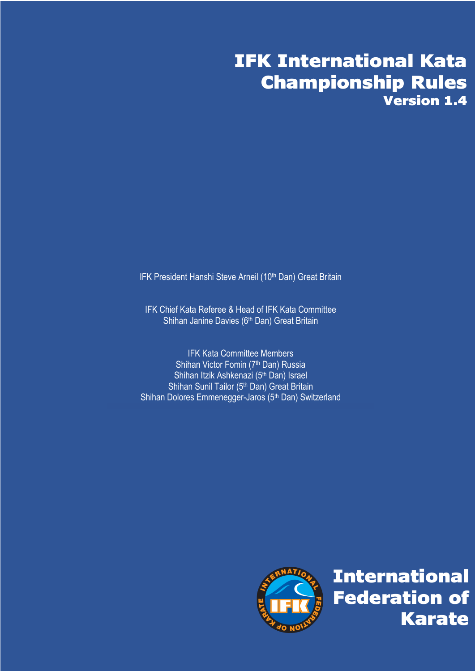# IFK International Kata Championship Rules Version 1.4

IFK President Hanshi Steve Arneil (10<sup>th</sup> Dan) Great Britain

IFK Chief Kata Referee & Head of IFK Kata Committee Shihan Janine Davies (6<sup>th</sup> Dan) Great Britain

IFK Kata Committee Members Shihan Victor Fomin (7<sup>th</sup> Dan) Russia Shihan Itzik Ashkenazi (5<sup>th</sup> Dan) Israel Shihan Sunil Tailor (5th Dan) Great Britain Shihan Dolores Emmenegger-Jaros (5th Dan) Switzerland



International Federation of Karate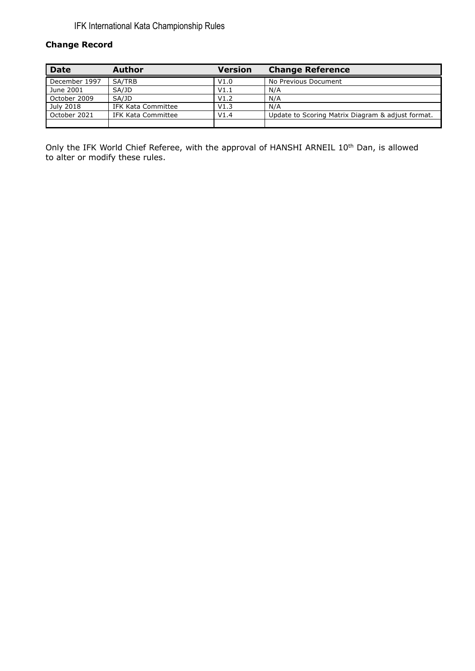#### **Change Record**

| <b>Date</b>   | Author             | <b>Version</b> | <b>Change Reference</b>                           |
|---------------|--------------------|----------------|---------------------------------------------------|
| December 1997 | SA/TRB             | V1.0           | No Previous Document                              |
| June 2001     | SA/JD              | V1.1           | N/A                                               |
| October 2009  | SA/JD              | V1.2           | N/A                                               |
| July 2018     | IFK Kata Committee | V1.3           | N/A                                               |
| October 2021  | IFK Kata Committee | V1.4           | Update to Scoring Matrix Diagram & adjust format. |
|               |                    |                |                                                   |

Only the IFK World Chief Referee, with the approval of HANSHI ARNEIL 10<sup>th</sup> Dan, is allowed to alter or modify these rules.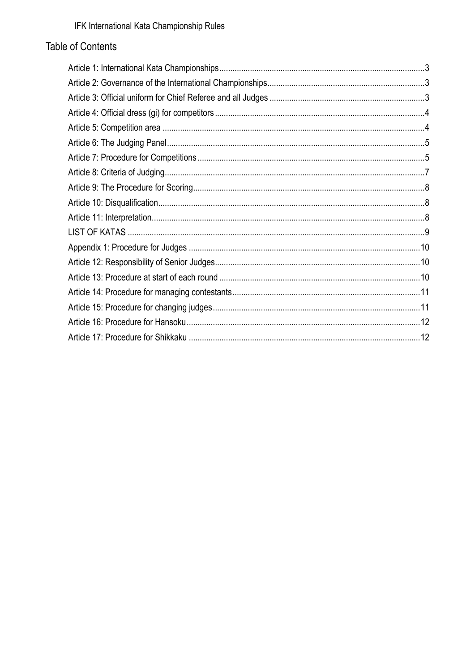### Table of Contents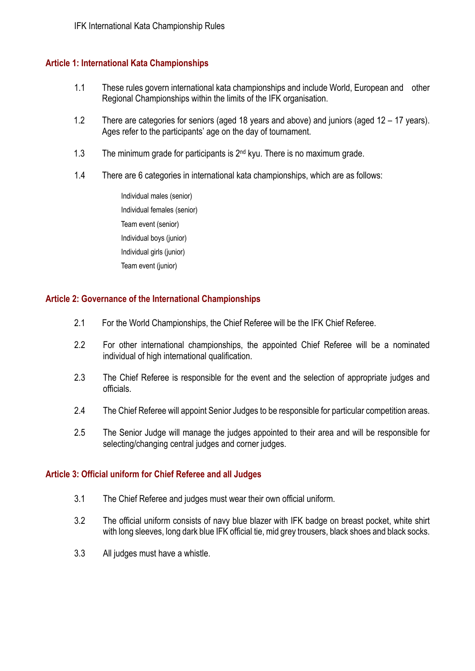#### **Article 1: International Kata Championships**

- 1.1 These rules govern international kata championships and include World, European and other Regional Championships within the limits of the IFK organisation.
- 1.2 There are categories for seniors (aged 18 years and above) and juniors (aged 12 17 years). Ages refer to the participants' age on the day of tournament.
- 1.3 The minimum grade for participants is 2<sup>nd</sup> kyu. There is no maximum grade.
- 1.4 There are 6 categories in international kata championships, which are as follows:
	- Individual males (senior) Individual females (senior) Team event (senior) Individual boys (junior) Individual girls (junior) Team event (junior)

#### **Article 2: Governance of the International Championships**

- 2.1 For the World Championships, the Chief Referee will be the IFK Chief Referee.
- 2.2 For other international championships, the appointed Chief Referee will be a nominated individual of high international qualification.
- 2.3 The Chief Referee is responsible for the event and the selection of appropriate judges and officials.
- 2.4 The Chief Referee will appoint Senior Judges to be responsible for particular competition areas.
- 2.5 The Senior Judge will manage the judges appointed to their area and will be responsible for selecting/changing central judges and corner judges.

#### **Article 3: Official uniform for Chief Referee and all Judges**

- 3.1 The Chief Referee and judges must wear their own official uniform.
- 3.2 The official uniform consists of navy blue blazer with IFK badge on breast pocket, white shirt with long sleeves, long dark blue IFK official tie, mid grey trousers, black shoes and black socks.
- 3.3 All judges must have a whistle.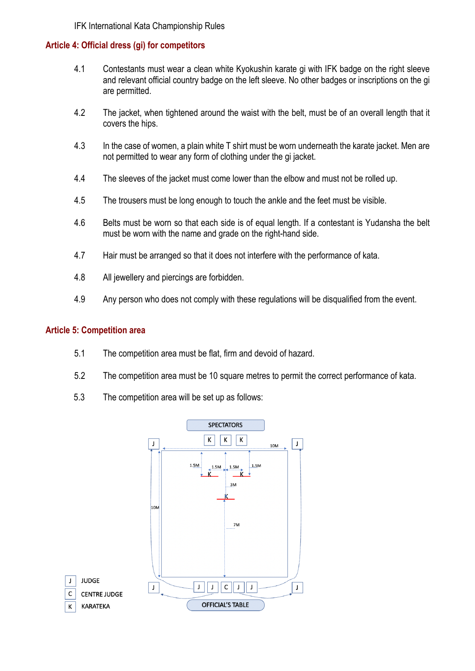#### **Article 4: Official dress (gi) for competitors**

- 4.1 Contestants must wear a clean white Kyokushin karate gi with IFK badge on the right sleeve and relevant official country badge on the left sleeve. No other badges or inscriptions on the gi are permitted.
- 4.2 The jacket, when tightened around the waist with the belt, must be of an overall length that it covers the hips.
- 4.3 In the case of women, a plain white T shirt must be worn underneath the karate jacket. Men are not permitted to wear any form of clothing under the gi jacket.
- 4.4 The sleeves of the jacket must come lower than the elbow and must not be rolled up.
- 4.5 The trousers must be long enough to touch the ankle and the feet must be visible.
- 4.6 Belts must be worn so that each side is of equal length. If a contestant is Yudansha the belt must be worn with the name and grade on the right-hand side.
- 4.7 Hair must be arranged so that it does not interfere with the performance of kata.
- 4.8 All jewellery and piercings are forbidden.
- 4.9 Any person who does not comply with these regulations will be disqualified from the event.

#### **Article 5: Competition area**

- 5.1 The competition area must be flat, firm and devoid of hazard.
- 5.2 The competition area must be 10 square metres to permit the correct performance of kata.
- 5.3 The competition area will be set up as follows:

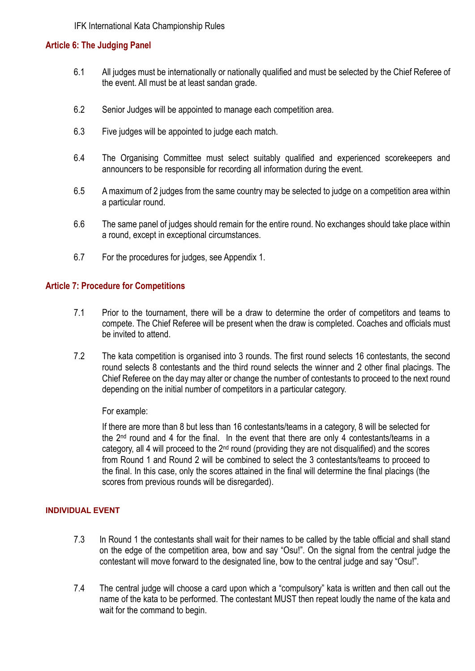#### **Article 6: The Judging Panel**

- 6.1 All judges must be internationally or nationally qualified and must be selected by the Chief Referee of the event. All must be at least sandan grade.
- 6.2 Senior Judges will be appointed to manage each competition area.
- 6.3 Five judges will be appointed to judge each match.
- 6.4 The Organising Committee must select suitably qualified and experienced scorekeepers and announcers to be responsible for recording all information during the event.
- 6.5 A maximum of 2 judges from the same country may be selected to judge on a competition area within a particular round.
- 6.6 The same panel of judges should remain for the entire round. No exchanges should take place within a round, except in exceptional circumstances.
- 6.7 For the procedures for judges, see Appendix 1.

#### **Article 7: Procedure for Competitions**

- 7.1 Prior to the tournament, there will be a draw to determine the order of competitors and teams to compete. The Chief Referee will be present when the draw is completed. Coaches and officials must be invited to attend.
- 7.2 The kata competition is organised into 3 rounds. The first round selects 16 contestants, the second round selects 8 contestants and the third round selects the winner and 2 other final placings. The Chief Referee on the day may alter or change the number of contestants to proceed to the next round depending on the initial number of competitors in a particular category.

#### For example:

If there are more than 8 but less than 16 contestants/teams in a category, 8 will be selected for the 2nd round and 4 for the final. In the event that there are only 4 contestants/teams in a category, all 4 will proceed to the  $2<sup>nd</sup>$  round (providing they are not disqualified) and the scores from Round 1 and Round 2 will be combined to select the 3 contestants/teams to proceed to the final. In this case, only the scores attained in the final will determine the final placings (the scores from previous rounds will be disregarded).

#### **INDIVIDUAL EVENT**

- 7.3 In Round 1 the contestants shall wait for their names to be called by the table official and shall stand on the edge of the competition area, bow and say "Osu!". On the signal from the central judge the contestant will move forward to the designated line, bow to the central judge and say "Osu!".
- 7.4 The central judge will choose a card upon which a "compulsory" kata is written and then call out the name of the kata to be performed. The contestant MUST then repeat loudly the name of the kata and wait for the command to begin.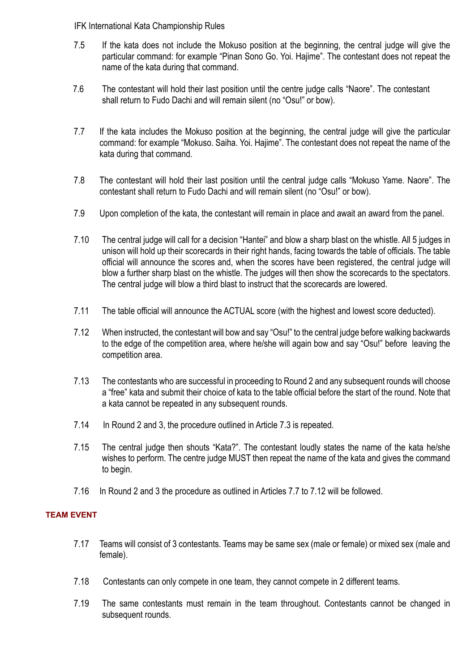- 7.5 If the kata does not include the Mokuso position at the beginning, the central judge will give the particular command: for example "Pinan Sono Go. Yoi. Hajime". The contestant does not repeat the name of the kata during that command.
- 7.6 The contestant will hold their last position until the centre judge calls "Naore". The contestant shall return to Fudo Dachi and will remain silent (no "Osu!" or bow).
- 7.7 If the kata includes the Mokuso position at the beginning, the central judge will give the particular command: for example "Mokuso. Saiha. Yoi. Hajime". The contestant does not repeat the name of the kata during that command.
- 7.8 The contestant will hold their last position until the central judge calls "Mokuso Yame. Naore". The contestant shall return to Fudo Dachi and will remain silent (no "Osu!" or bow).
- 7.9 Upon completion of the kata, the contestant will remain in place and await an award from the panel.
- 7.10 The central judge will call for a decision "Hantei" and blow a sharp blast on the whistle. All 5 judges in unison will hold up their scorecards in their right hands, facing towards the table of officials. The table official will announce the scores and, when the scores have been registered, the central judge will blow a further sharp blast on the whistle. The judges will then show the scorecards to the spectators. The central judge will blow a third blast to instruct that the scorecards are lowered.
- 7.11 The table official will announce the ACTUAL score (with the highest and lowest score deducted).
- 7.12 When instructed, the contestant will bow and say "Osu!" to the central judge before walking backwards to the edge of the competition area, where he/she will again bow and say "Osu!" before leaving the competition area.
- 7.13 The contestants who are successful in proceeding to Round 2 and any subsequent rounds will choose a "free" kata and submit their choice of kata to the table official before the start of the round. Note that a kata cannot be repeated in any subsequent rounds.
- 7.14 In Round 2 and 3, the procedure outlined in Article 7.3 is repeated.
- 7.15 The central judge then shouts "Kata?". The contestant loudly states the name of the kata he/she wishes to perform. The centre judge MUST then repeat the name of the kata and gives the command to begin.
- 7.16 In Round 2 and 3 the procedure as outlined in Articles 7.7 to 7.12 will be followed.

#### **TEAM EVENT**

- 7.17 Teams will consist of 3 contestants. Teams may be same sex (male or female) or mixed sex (male and female).
- 7.18 Contestants can only compete in one team, they cannot compete in 2 different teams.
- 7.19 The same contestants must remain in the team throughout. Contestants cannot be changed in subsequent rounds.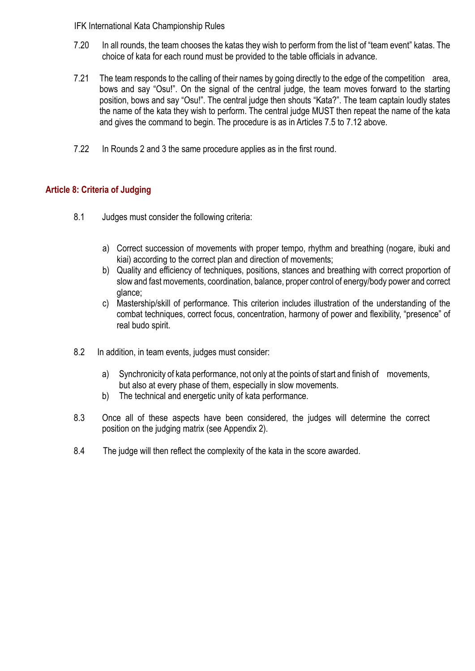- 7.20 In all rounds, the team chooses the katas they wish to perform from the list of "team event" katas. The choice of kata for each round must be provided to the table officials in advance.
- 7.21 The team responds to the calling of their names by going directly to the edge of the competition area, bows and say "Osu!". On the signal of the central judge, the team moves forward to the starting position, bows and say "Osu!". The central judge then shouts "Kata?". The team captain loudly states the name of the kata they wish to perform. The central judge MUST then repeat the name of the kata and gives the command to begin. The procedure is as in Articles 7.5 to 7.12 above.
- 7.22 In Rounds 2 and 3 the same procedure applies as in the first round.

#### **Article 8: Criteria of Judging**

- 8.1 Judges must consider the following criteria:
	- a) Correct succession of movements with proper tempo, rhythm and breathing (nogare, ibuki and kiai) according to the correct plan and direction of movements;
	- b) Quality and efficiency of techniques, positions, stances and breathing with correct proportion of slow and fast movements, coordination, balance, proper control of energy/body power and correct glance;
	- c) Mastership/skill of performance. This criterion includes illustration of the understanding of the combat techniques, correct focus, concentration, harmony of power and flexibility, "presence" of real budo spirit.
- 8.2 In addition, in team events, judges must consider:
	- a) Synchronicity of kata performance, not only at the points of start and finish of movements, but also at every phase of them, especially in slow movements.
	- b) The technical and energetic unity of kata performance.
- 8.3 Once all of these aspects have been considered, the judges will determine the correct position on the judging matrix (see Appendix 2).
- 8.4 The judge will then reflect the complexity of the kata in the score awarded.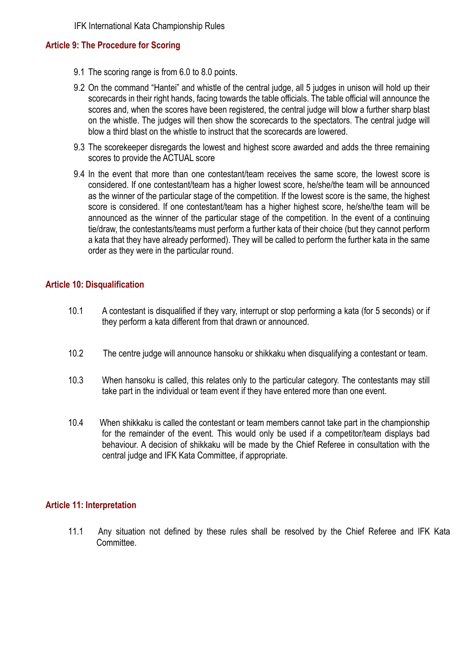#### **Article 9: The Procedure for Scoring**

- 9.1 The scoring range is from 6.0 to 8.0 points.
- 9.2 On the command "Hantei" and whistle of the central judge, all 5 judges in unison will hold up their scorecards in their right hands, facing towards the table officials. The table official will announce the scores and, when the scores have been registered, the central judge will blow a further sharp blast on the whistle. The judges will then show the scorecards to the spectators. The central judge will blow a third blast on the whistle to instruct that the scorecards are lowered.
- 9.3 The scorekeeper disregards the lowest and highest score awarded and adds the three remaining scores to provide the ACTUAL score
- 9.4 In the event that more than one contestant/team receives the same score, the lowest score is considered. If one contestant/team has a higher lowest score, he/she/the team will be announced as the winner of the particular stage of the competition. If the lowest score is the same, the highest score is considered. If one contestant/team has a higher highest score, he/she/the team will be announced as the winner of the particular stage of the competition. In the event of a continuing tie/draw, the contestants/teams must perform a further kata of their choice (but they cannot perform a kata that they have already performed). They will be called to perform the further kata in the same order as they were in the particular round.

#### **Article 10: Disqualification**

- 10.1 A contestant is disqualified if they vary, interrupt or stop performing a kata (for 5 seconds) or if they perform a kata different from that drawn or announced.
- 10.2 The centre judge will announce hansoku or shikkaku when disqualifying a contestant or team.
- 10.3 When hansoku is called, this relates only to the particular category. The contestants may still take part in the individual or team event if they have entered more than one event.
- 10.4 When shikkaku is called the contestant or team members cannot take part in the championship for the remainder of the event. This would only be used if a competitor/team displays bad behaviour. A decision of shikkaku will be made by the Chief Referee in consultation with the central judge and IFK Kata Committee, if appropriate.

#### **Article 11: Interpretation**

11.1 Any situation not defined by these rules shall be resolved by the Chief Referee and IFK Kata Committee.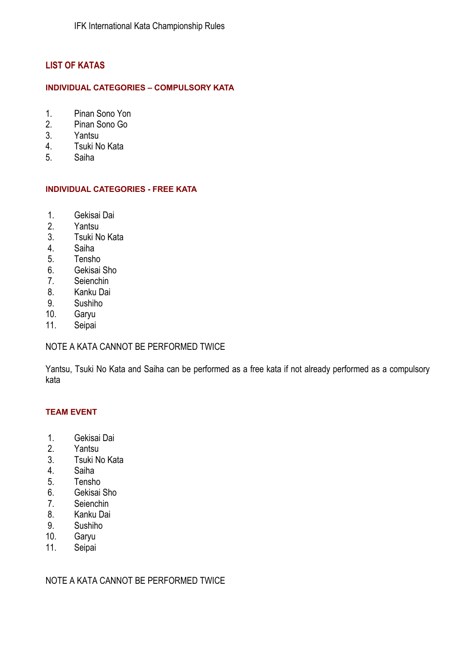#### **LIST OF KATAS**

#### **INDIVIDUAL CATEGORIES – COMPULSORY KATA**

- 1. Pinan Sono Yon
- 2. Pinan Sono Go
- 3. Yantsu
- 4. Tsuki No Kata
- 5. Saiha

#### **INDIVIDUAL CATEGORIES - FREE KATA**

- 1. Gekisai Dai
- 2. Yantsu
- 3. Tsuki No Kata
- 4. Saiha
- 5. Tensho
- 6. Gekisai Sho
- 7. Seienchin
- 8. Kanku Dai
- 9. Sushiho
- 10. Garyu
- 11. Seipai

#### NOTE A KATA CANNOT BE PERFORMED TWICE

Yantsu, Tsuki No Kata and Saiha can be performed as a free kata if not already performed as a compulsory kata

#### **TEAM EVENT**

- 1. Gekisai Dai
- 2. Yantsu
- 3. Tsuki No Kata
- 4. Saiha
- 5. Tensho
- 6. Gekisai Sho
- 7. Seienchin
- 8. Kanku Dai
- 9. Sushiho<br>10. Garvu
- Garyu
- 11. Seipai

NOTE A KATA CANNOT BE PERFORMED TWICE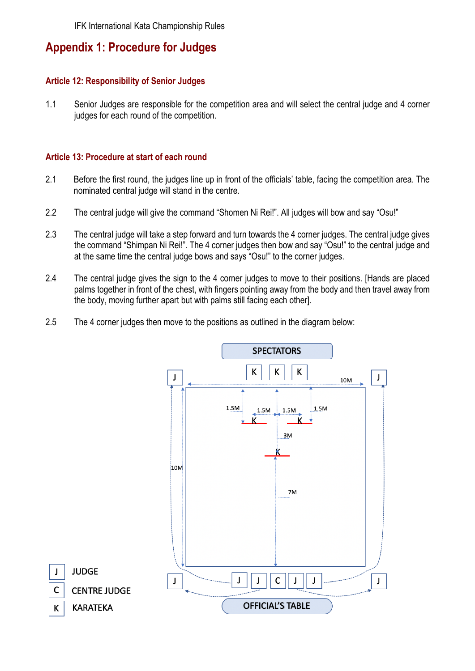### **Appendix 1: Procedure for Judges**

#### **Article 12: Responsibility of Senior Judges**

1.1 Senior Judges are responsible for the competition area and will select the central judge and 4 corner judges for each round of the competition.

#### **Article 13: Procedure at start of each round**

- 2.1 Before the first round, the judges line up in front of the officials' table, facing the competition area. The nominated central judge will stand in the centre.
- 2.2 The central judge will give the command "Shomen Ni Rei!". All judges will bow and say "Osu!"
- 2.3 The central judge will take a step forward and turn towards the 4 corner judges. The central judge gives the command "Shimpan Ni Rei!". The 4 corner judges then bow and say "Osu!" to the central judge and at the same time the central judge bows and says "Osu!" to the corner judges.
- 2.4 The central judge gives the sign to the 4 corner judges to move to their positions. [Hands are placed palms together in front of the chest, with fingers pointing away from the body and then travel away from the body, moving further apart but with palms still facing each other].
- 2.5 The 4 corner judges then move to the positions as outlined in the diagram below:

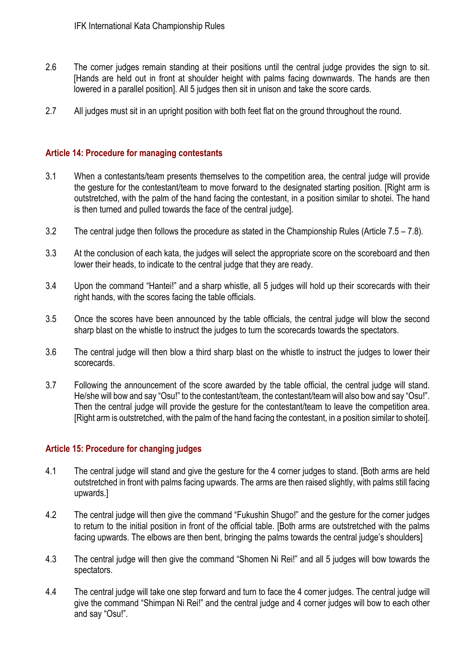- 2.6 The corner judges remain standing at their positions until the central judge provides the sign to sit. [Hands are held out in front at shoulder height with palms facing downwards. The hands are then lowered in a parallel position]. All 5 judges then sit in unison and take the score cards.
- 2.7 All judges must sit in an upright position with both feet flat on the ground throughout the round.

#### **Article 14: Procedure for managing contestants**

- 3.1 When a contestants/team presents themselves to the competition area, the central judge will provide the gesture for the contestant/team to move forward to the designated starting position. [Right arm is outstretched, with the palm of the hand facing the contestant, in a position similar to shotei. The hand is then turned and pulled towards the face of the central judge].
- 3.2 The central judge then follows the procedure as stated in the Championship Rules (Article 7.5 7.8).
- 3.3 At the conclusion of each kata, the judges will select the appropriate score on the scoreboard and then lower their heads, to indicate to the central judge that they are ready.
- 3.4 Upon the command "Hantei!" and a sharp whistle, all 5 judges will hold up their scorecards with their right hands, with the scores facing the table officials.
- 3.5 Once the scores have been announced by the table officials, the central judge will blow the second sharp blast on the whistle to instruct the judges to turn the scorecards towards the spectators.
- 3.6 The central judge will then blow a third sharp blast on the whistle to instruct the judges to lower their scorecards.
- 3.7 Following the announcement of the score awarded by the table official, the central judge will stand. He/she will bow and say "Osu!" to the contestant/team, the contestant/team will also bow and say "Osu!". Then the central judge will provide the gesture for the contestant/team to leave the competition area. [Right arm is outstretched, with the palm of the hand facing the contestant, in a position similar to shotei].

#### **Article 15: Procedure for changing judges**

- 4.1 The central judge will stand and give the gesture for the 4 corner judges to stand. [Both arms are held outstretched in front with palms facing upwards. The arms are then raised slightly, with palms still facing upwards.]
- 4.2 The central judge will then give the command "Fukushin Shugo!" and the gesture for the corner judges to return to the initial position in front of the official table. [Both arms are outstretched with the palms facing upwards. The elbows are then bent, bringing the palms towards the central judge's shoulders]
- 4.3 The central judge will then give the command "Shomen Ni Rei!" and all 5 judges will bow towards the spectators.
- 4.4 The central judge will take one step forward and turn to face the 4 corner judges. The central judge will give the command "Shimpan Ni Rei!" and the central judge and 4 corner judges will bow to each other and say "Osu!".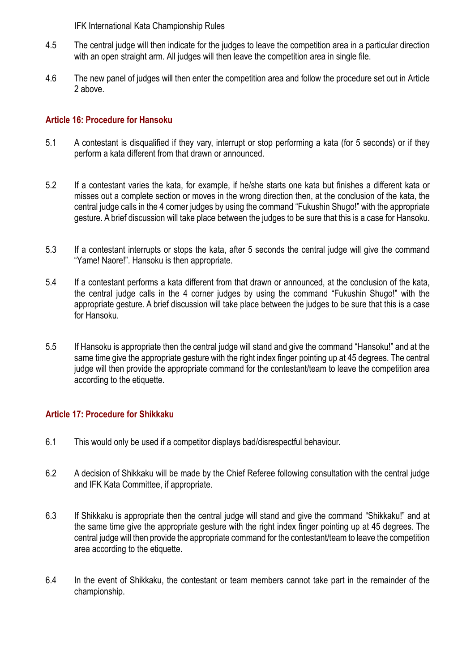- 4.5 The central judge will then indicate for the judges to leave the competition area in a particular direction with an open straight arm. All judges will then leave the competition area in single file.
- 4.6 The new panel of judges will then enter the competition area and follow the procedure set out in Article 2 above.

#### **Article 16: Procedure for Hansoku**

- 5.1 A contestant is disqualified if they vary, interrupt or stop performing a kata (for 5 seconds) or if they perform a kata different from that drawn or announced.
- 5.2 If a contestant varies the kata, for example, if he/she starts one kata but finishes a different kata or misses out a complete section or moves in the wrong direction then, at the conclusion of the kata, the central judge calls in the 4 corner judges by using the command "Fukushin Shugo!" with the appropriate gesture. A brief discussion will take place between the judges to be sure that this is a case for Hansoku.
- 5.3 If a contestant interrupts or stops the kata, after 5 seconds the central judge will give the command "Yame! Naore!". Hansoku is then appropriate.
- 5.4 If a contestant performs a kata different from that drawn or announced, at the conclusion of the kata, the central judge calls in the 4 corner judges by using the command "Fukushin Shugo!" with the appropriate gesture. A brief discussion will take place between the judges to be sure that this is a case for Hansoku.
- 5.5 If Hansoku is appropriate then the central judge will stand and give the command "Hansoku!" and at the same time give the appropriate gesture with the right index finger pointing up at 45 degrees. The central judge will then provide the appropriate command for the contestant/team to leave the competition area according to the etiquette.

#### **Article 17: Procedure for Shikkaku**

- 6.1 This would only be used if a competitor displays bad/disrespectful behaviour.
- 6.2 A decision of Shikkaku will be made by the Chief Referee following consultation with the central judge and IFK Kata Committee, if appropriate.
- 6.3 If Shikkaku is appropriate then the central judge will stand and give the command "Shikkaku!" and at the same time give the appropriate gesture with the right index finger pointing up at 45 degrees. The central judge will then provide the appropriate command for the contestant/team to leave the competition area according to the etiquette.
- 6.4 In the event of Shikkaku, the contestant or team members cannot take part in the remainder of the championship.